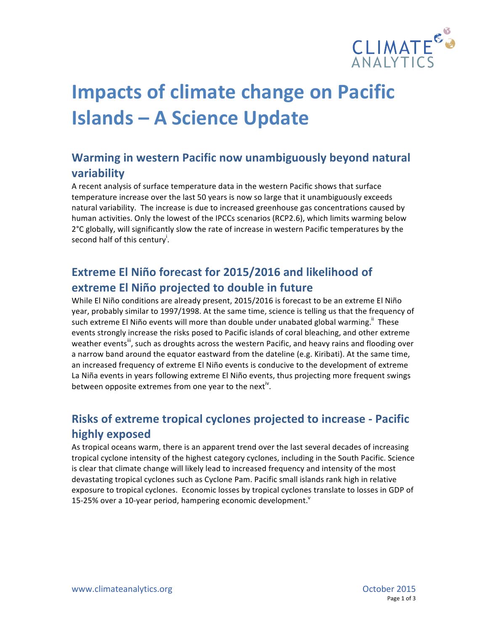

# **Impacts of climate change on Pacific Islands – A Science Update**

## **Warming in western Pacific now unambiguously beyond natural variability**

A recent analysis of surface temperature data in the western Pacific shows that surface temperature increase over the last 50 years is now so large that it unambiguously exceeds natural variability. The increase is due to increased greenhouse gas concentrations caused by human activities. Only the lowest of the IPCCs scenarios (RCP2.6), which limits warming below 2°C globally, will significantly slow the rate of increase in western Pacific temperatures by the second half of this century<sup>i</sup>.

## **Extreme El Niño forecast for 2015/2016 and likelihood of extreme El Niño projected to double in future**

While El Niño conditions are already present, 2015/2016 is forecast to be an extreme El Niño year, probably similar to 1997/1998. At the same time, science is telling us that the frequency of such extreme El Niño events will more than double under unabated global warming.<sup>"</sup> These events strongly increase the risks posed to Pacific islands of coral bleaching, and other extreme weather events<sup>iii</sup>, such as droughts across the western Pacific, and heavy rains and flooding over a narrow band around the equator eastward from the dateline (e.g. Kiribati). At the same time, an increased frequency of extreme El Niño events is conducive to the development of extreme La Niña events in years following extreme El Niño events, thus projecting more frequent swings between opposite extremes from one year to the next<sup>iv</sup>.

### **Risks of extreme tropical cyclones projected to increase - Pacific highly exposed**

As tropical oceans warm, there is an apparent trend over the last several decades of increasing tropical cyclone intensity of the highest category cyclones, including in the South Pacific. Science is clear that climate change will likely lead to increased frequency and intensity of the most devastating tropical cyclones such as Cyclone Pam. Pacific small islands rank high in relative exposure to tropical cyclones. Economic losses by tropical cyclones translate to losses in GDP of 15-25% over a 10-year period, hampering economic development. $v$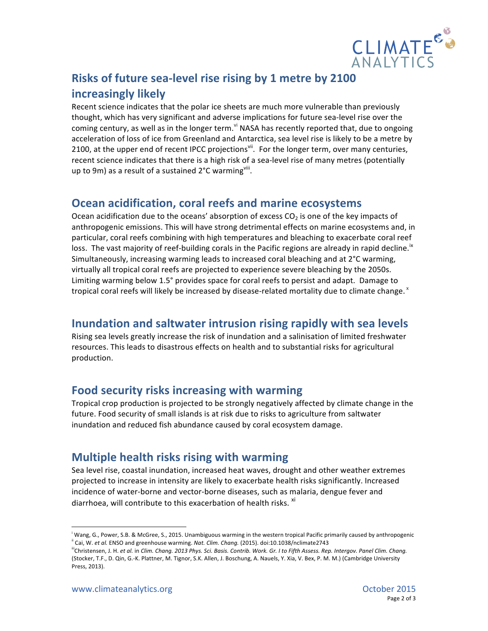

## **Risks of future sea-level rise rising by 1 metre by 2100 increasingly likely**

Recent science indicates that the polar ice sheets are much more vulnerable than previously thought, which has very significant and adverse implications for future sea-level rise over the coming century, as well as in the longer term. v<sup>i</sup> NASA has recently reported that, due to ongoing acceleration of loss of ice from Greenland and Antarctica, sea level rise is likely to be a metre by 2100, at the upper end of recent IPCC projections<sup>vii</sup>. For the longer term, over many centuries, recent science indicates that there is a high risk of a sea-level rise of many metres (potentially up to 9m) as a result of a sustained  $2^{\circ}$ C warming<sup>viii</sup>.

#### **Ocean acidification, coral reefs and marine ecosystems**

Ocean acidification due to the oceans' absorption of excess  $CO<sub>2</sub>$  is one of the key impacts of anthropogenic emissions. This will have strong detrimental effects on marine ecosystems and, in particular, coral reefs combining with high temperatures and bleaching to exacerbate coral reef loss. The vast majority of reef-building corals in the Pacific regions are already in rapid decline.<sup>18</sup> Simultaneously, increasing warming leads to increased coral bleaching and at 2°C warming, virtually all tropical coral reefs are projected to experience severe bleaching by the 2050s. Limiting warming below 1.5° provides space for coral reefs to persist and adapt. Damage to tropical coral reefs will likely be increased by disease-related mortality due to climate change.  $x$ 

#### **Inundation and saltwater intrusion rising rapidly with sea levels**

Rising sea levels greatly increase the risk of inundation and a salinisation of limited freshwater resources. This leads to disastrous effects on health and to substantial risks for agricultural production.

### **Food security risks increasing with warming**

Tropical crop production is projected to be strongly negatively affected by climate change in the future. Food security of small islands is at risk due to risks to agriculture from saltwater inundation and reduced fish abundance caused by coral ecosystem damage.

#### **Multiple health risks rising with warming**

Sea level rise, coastal inundation, increased heat waves, drought and other weather extremes projected to increase in intensity are likely to exacerbate health risks significantly. Increased incidence of water-borne and vector-borne diseases, such as malaria, dengue fever and diarrhoea, will contribute to this exacerbation of health risks.  $^{\text{xi}}$ 

inder on the western tropical Pacific Community Caussian<br>Wang, G., Power, S.B. & McGree, S., 2015. Unambiguous warming in the western tropical Pacific primarily caused by anthropogenic <sup>ii</sup> Cai, W. *et al.* ENSO and greenhouse warming. Nat. Clim. Chang. (2015). doi:10.1038/nclimate2743

iichristensen, J. H. et al. in Clim. Chang. 2013 Phys. Sci. Basis. Contrib. Work. Gr. I to Fifth Assess. Rep. Intergov. Panel Clim. Chang. (Stocker, T.F., D. Qin, G.-K. Plattner, M. Tignor, S.K. Allen, J. Boschung, A. Nauels, Y. Xia, V. Bex, P. M. M.) (Cambridge University Press, 2013).